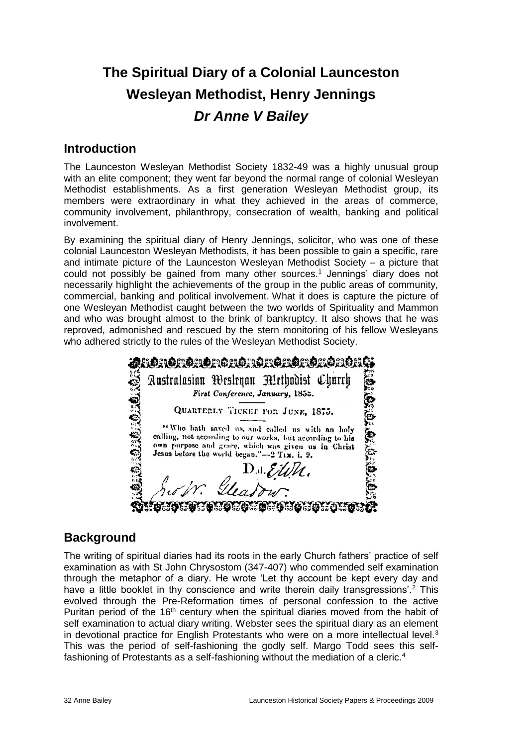# **The Spiritual Diary of a Colonial Launceston Wesleyan Methodist, Henry Jennings** *Dr Anne V Bailey*

### **Introduction**

The Launceston Wesleyan Methodist Society 1832-49 was a highly unusual group with an elite component; they went far beyond the normal range of colonial Wesleyan Methodist establishments. As a first generation Wesleyan Methodist group, its members were extraordinary in what they achieved in the areas of commerce, community involvement, philanthropy, consecration of wealth, banking and political involvement.

By examining the spiritual diary of Henry Jennings, solicitor, who was one of these colonial Launceston Wesleyan Methodists, it has been possible to gain a specific, rare and intimate picture of the Launceston Wesleyan Methodist Society – a picture that could not possibly be gained from many other sources.<sup>1</sup> Jennings' diary does not necessarily highlight the achievements of the group in the public areas of community, commercial, banking and political involvement. What it does is capture the picture of one Wesleyan Methodist caught between the two worlds of Spirituality and Mammon and who was brought almost to the brink of bankruptcy. It also shows that he was reproved, admonished and rescued by the stern monitoring of his fellow Wesleyans who adhered strictly to the rules of the Wesleyan Methodist Society.

| <u> SORORORDA CROROLORORORORO S</u> |                                                                                                                  |
|-------------------------------------|------------------------------------------------------------------------------------------------------------------|
|                                     | Australasian Wesleyan Alethodist Church<br>ونز<br>الجا                                                           |
|                                     | First Conference, January, 1855.                                                                                 |
|                                     | QUARTERLY TICKET FOR JUNE, 1875.                                                                                 |
|                                     | "Who hath saved us, and called us with an holy                                                                   |
| ្ត                                  | calling, not according to our works, but according to his<br>own purpose and grace, which was given us in Christ |
|                                     | Jesus before the world began."--2 Tix. i. 9.                                                                     |
|                                     | $D$ .d. EWN.                                                                                                     |
|                                     | Gleadour                                                                                                         |
|                                     | \$5\$5\$63\$63\$63\$63\$63                                                                                       |

### **Background**

The writing of spiritual diaries had its roots in the early Church fathers' practice of self examination as with St John Chrysostom (347-407) who commended self examination through the metaphor of a diary. He wrote 'Let thy account be kept every day and have a little booklet in thy conscience and write therein daily transgressions'.<sup>2</sup> This evolved through the Pre-Reformation times of personal confession to the active Puritan period of the  $16<sup>th</sup>$  century when the spiritual diaries moved from the habit of self examination to actual diary writing. Webster sees the spiritual diary as an element in devotional practice for English Protestants who were on a more intellectual level.<sup>3</sup> This was the period of self-fashioning the godly self. Margo Todd sees this selffashioning of Protestants as a self-fashioning without the mediation of a cleric.<sup>4</sup>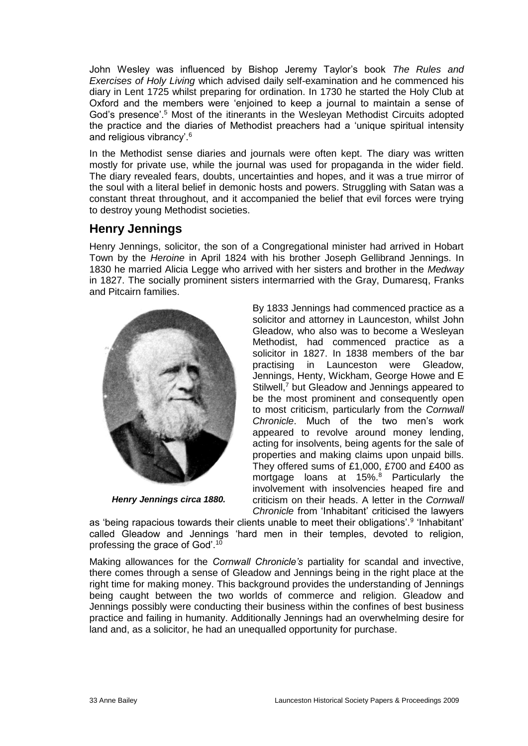John Wesley was influenced by Bishop Jeremy Taylor's book *The Rules and Exercises of Holy Living* which advised daily self-examination and he commenced his diary in Lent 1725 whilst preparing for ordination. In 1730 he started the Holy Club at Oxford and the members were 'enjoined to keep a journal to maintain a sense of God's presence'.<sup>5</sup> Most of the itinerants in the Wesleyan Methodist Circuits adopted the practice and the diaries of Methodist preachers had a 'unique spiritual intensity and religious vibrancy'.<sup>6</sup>

In the Methodist sense diaries and journals were often kept. The diary was written mostly for private use, while the journal was used for propaganda in the wider field. The diary revealed fears, doubts, uncertainties and hopes, and it was a true mirror of the soul with a literal belief in demonic hosts and powers. Struggling with Satan was a constant threat throughout, and it accompanied the belief that evil forces were trying to destroy young Methodist societies.

# **Henry Jennings**

Henry Jennings, solicitor, the son of a Congregational minister had arrived in Hobart Town by the *Heroine* in April 1824 with his brother Joseph Gellibrand Jennings. In 1830 he married Alicia Legge who arrived with her sisters and brother in the *Medway* in 1827. The socially prominent sisters intermarried with the Gray, Dumaresq, Franks and Pitcairn families.



*Henry Jennings circa 1880.*

By 1833 Jennings had commenced practice as a solicitor and attorney in Launceston, whilst John Gleadow, who also was to become a Wesleyan Methodist, had commenced practice as a solicitor in 1827. In 1838 members of the bar practising in Launceston were Gleadow, Jennings, Henty, Wickham, George Howe and E Stilwell,<sup>7</sup> but Gleadow and Jennings appeared to be the most prominent and consequently open to most criticism, particularly from the *Cornwall Chronicle*. Much of the two men's work appeared to revolve around money lending, acting for insolvents, being agents for the sale of properties and making claims upon unpaid bills. They offered sums of £1,000, £700 and £400 as mortgage loans at 15%.<sup>8</sup> Particularly the involvement with insolvencies heaped fire and criticism on their heads. A letter in the *Cornwall Chronicle* from 'Inhabitant' criticised the lawyers

as 'being rapacious towards their clients unable to meet their obligations'.<sup>9</sup> 'Inhabitant' called Gleadow and Jennings 'hard men in their temples, devoted to religion, professing the grace of God'.<sup>10</sup>

Making allowances for the *Cornwall Chronicle's* partiality for scandal and invective, there comes through a sense of Gleadow and Jennings being in the right place at the right time for making money. This background provides the understanding of Jennings being caught between the two worlds of commerce and religion. Gleadow and Jennings possibly were conducting their business within the confines of best business practice and failing in humanity. Additionally Jennings had an overwhelming desire for land and, as a solicitor, he had an unequalled opportunity for purchase.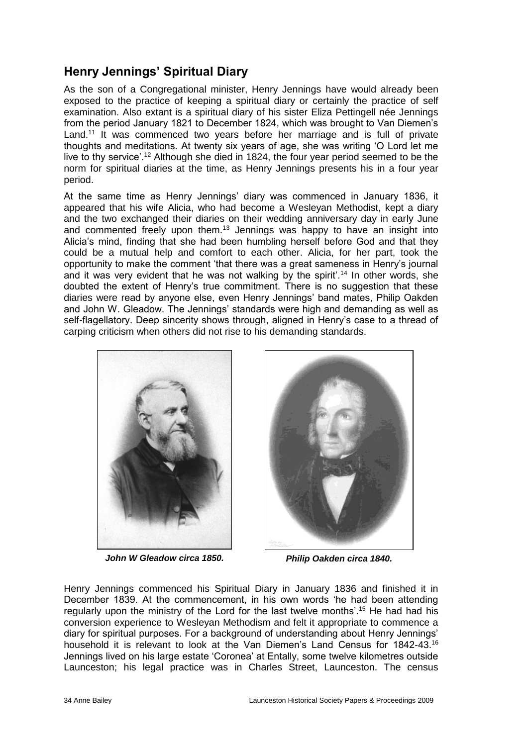# **Henry Jennings' Spiritual Diary**

As the son of a Congregational minister, Henry Jennings have would already been exposed to the practice of keeping a spiritual diary or certainly the practice of self examination. Also extant is a spiritual diary of his sister Eliza Pettingell née Jennings from the period January 1821 to December 1824, which was brought to Van Diemen's Land.<sup>11</sup> It was commenced two years before her marriage and is full of private thoughts and meditations. At twenty six years of age, she was writing 'O Lord let me live to thy service'.<sup>12</sup> Although she died in 1824, the four year period seemed to be the norm for spiritual diaries at the time, as Henry Jennings presents his in a four year period.

At the same time as Henry Jennings' diary was commenced in January 1836, it appeared that his wife Alicia, who had become a Wesleyan Methodist, kept a diary and the two exchanged their diaries on their wedding anniversary day in early June and commented freely upon them.<sup>13</sup> Jennings was happy to have an insight into Alicia's mind, finding that she had been humbling herself before God and that they could be a mutual help and comfort to each other. Alicia, for her part, took the opportunity to make the comment 'that there was a great sameness in Henry's journal and it was very evident that he was not walking by the spirit'.<sup>14</sup> In other words, she doubted the extent of Henry's true commitment. There is no suggestion that these diaries were read by anyone else, even Henry Jennings' band mates, Philip Oakden and John W. Gleadow. The Jennings' standards were high and demanding as well as self-flagellatory. Deep sincerity shows through, aligned in Henry's case to a thread of carping criticism when others did not rise to his demanding standards.



*John W Gleadow circa 1850. Philip Oakden circa 1840.*



Henry Jennings commenced his Spiritual Diary in January 1836 and finished it in December 1839. At the commencement, in his own words 'he had been attending regularly upon the ministry of the Lord for the last twelve months'.<sup>15</sup> He had had his conversion experience to Wesleyan Methodism and felt it appropriate to commence a diary for spiritual purposes. For a background of understanding about Henry Jennings' household it is relevant to look at the Van Diemen's Land Census for 1842-43.<sup>16</sup> Jennings lived on his large estate 'Coronea' at Entally, some twelve kilometres outside Launceston; his legal practice was in Charles Street, Launceston. The census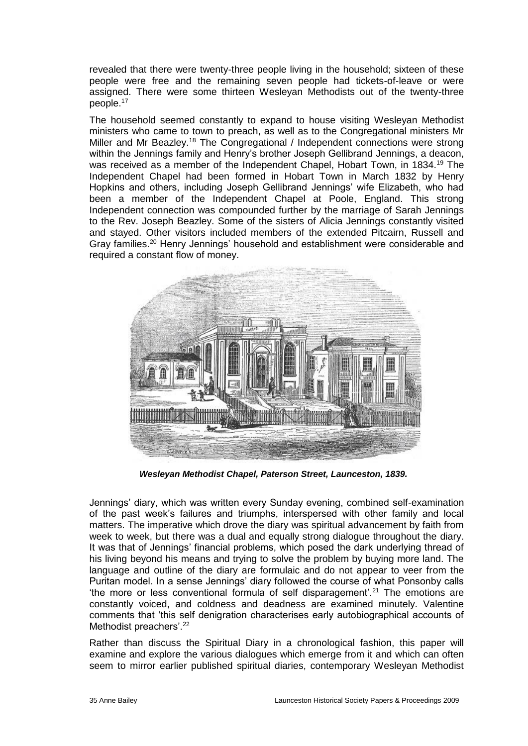revealed that there were twenty-three people living in the household; sixteen of these people were free and the remaining seven people had tickets-of-leave or were assigned. There were some thirteen Wesleyan Methodists out of the twenty-three people.<sup>17</sup>

The household seemed constantly to expand to house visiting Wesleyan Methodist ministers who came to town to preach, as well as to the Congregational ministers Mr Miller and Mr Beazley.<sup>18</sup> The Congregational / Independent connections were strong within the Jennings family and Henry's brother Joseph Gellibrand Jennings, a deacon, was received as a member of the Independent Chapel, Hobart Town, in 1834.<sup>19</sup> The Independent Chapel had been formed in Hobart Town in March 1832 by Henry Hopkins and others, including Joseph Gellibrand Jennings' wife Elizabeth, who had been a member of the Independent Chapel at Poole, England. This strong Independent connection was compounded further by the marriage of Sarah Jennings to the Rev. Joseph Beazley. Some of the sisters of Alicia Jennings constantly visited and stayed. Other visitors included members of the extended Pitcairn, Russell and Gray families.<sup>20</sup> Henry Jennings' household and establishment were considerable and required a constant flow of money.



*Wesleyan Methodist Chapel, Paterson Street, Launceston, 1839.*

Jennings' diary, which was written every Sunday evening, combined self-examination of the past week's failures and triumphs, interspersed with other family and local matters. The imperative which drove the diary was spiritual advancement by faith from week to week, but there was a dual and equally strong dialogue throughout the diary. It was that of Jennings' financial problems, which posed the dark underlying thread of his living beyond his means and trying to solve the problem by buying more land. The language and outline of the diary are formulaic and do not appear to veer from the Puritan model. In a sense Jennings' diary followed the course of what Ponsonby calls 'the more or less conventional formula of self disparagement'.<sup>21</sup> The emotions are constantly voiced, and coldness and deadness are examined minutely. Valentine comments that 'this self denigration characterises early autobiographical accounts of Methodist preachers'.<sup>22</sup>

Rather than discuss the Spiritual Diary in a chronological fashion, this paper will examine and explore the various dialogues which emerge from it and which can often seem to mirror earlier published spiritual diaries, contemporary Wesleyan Methodist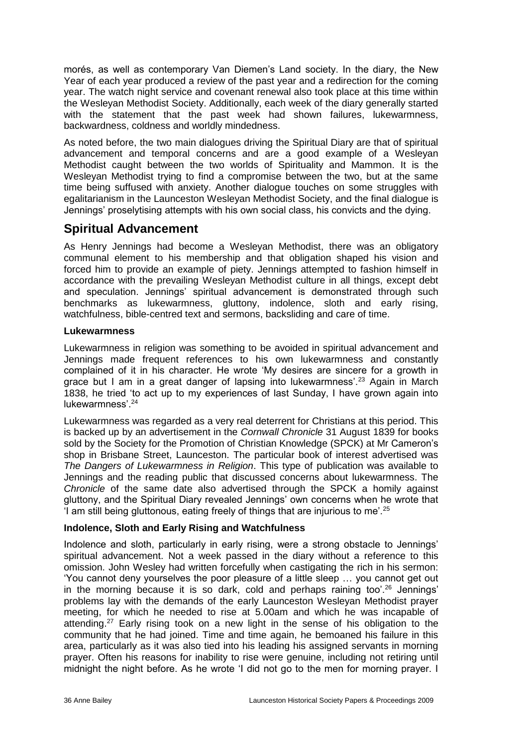morés, as well as contemporary Van Diemen's Land society. In the diary, the New Year of each year produced a review of the past year and a redirection for the coming year. The watch night service and covenant renewal also took place at this time within the Wesleyan Methodist Society. Additionally, each week of the diary generally started with the statement that the past week had shown failures, lukewarmness, backwardness, coldness and worldly mindedness.

As noted before, the two main dialogues driving the Spiritual Diary are that of spiritual advancement and temporal concerns and are a good example of a Wesleyan Methodist caught between the two worlds of Spirituality and Mammon. It is the Wesleyan Methodist trying to find a compromise between the two, but at the same time being suffused with anxiety. Another dialogue touches on some struggles with egalitarianism in the Launceston Wesleyan Methodist Society, and the final dialogue is Jennings' proselytising attempts with his own social class, his convicts and the dying.

### **Spiritual Advancement**

As Henry Jennings had become a Wesleyan Methodist, there was an obligatory communal element to his membership and that obligation shaped his vision and forced him to provide an example of piety. Jennings attempted to fashion himself in accordance with the prevailing Wesleyan Methodist culture in all things, except debt and speculation. Jennings' spiritual advancement is demonstrated through such benchmarks as lukewarmness, gluttony, indolence, sloth and early rising, watchfulness, bible-centred text and sermons, backsliding and care of time.

#### **Lukewarmness**

Lukewarmness in religion was something to be avoided in spiritual advancement and Jennings made frequent references to his own lukewarmness and constantly complained of it in his character. He wrote 'My desires are sincere for a growth in grace but I am in a great danger of lapsing into lukewarmness'.<sup>23</sup> Again in March 1838, he tried 'to act up to my experiences of last Sunday, I have grown again into lukewarmness'.<sup>24</sup>

Lukewarmness was regarded as a very real deterrent for Christians at this period. This is backed up by an advertisement in the *Cornwall Chronicle* 31 August 1839 for books sold by the Society for the Promotion of Christian Knowledge (SPCK) at Mr Cameron's shop in Brisbane Street, Launceston. The particular book of interest advertised was *The Dangers of Lukewarmness in Religion*. This type of publication was available to Jennings and the reading public that discussed concerns about lukewarmness. The *Chronicle* of the same date also advertised through the SPCK a homily against gluttony, and the Spiritual Diary revealed Jennings' own concerns when he wrote that 'I am still being gluttonous, eating freely of things that are injurious to me'.<sup>25</sup>

#### **Indolence, Sloth and Early Rising and Watchfulness**

Indolence and sloth, particularly in early rising, were a strong obstacle to Jennings' spiritual advancement. Not a week passed in the diary without a reference to this omission. John Wesley had written forcefully when castigating the rich in his sermon: 'You cannot deny yourselves the poor pleasure of a little sleep … you cannot get out in the morning because it is so dark, cold and perhaps raining too'.<sup>26</sup> Jennings' problems lay with the demands of the early Launceston Wesleyan Methodist prayer meeting, for which he needed to rise at 5.00am and which he was incapable of attending.<sup>27</sup> Early rising took on a new light in the sense of his obligation to the community that he had joined. Time and time again, he bemoaned his failure in this area, particularly as it was also tied into his leading his assigned servants in morning prayer. Often his reasons for inability to rise were genuine, including not retiring until midnight the night before. As he wrote 'I did not go to the men for morning prayer. I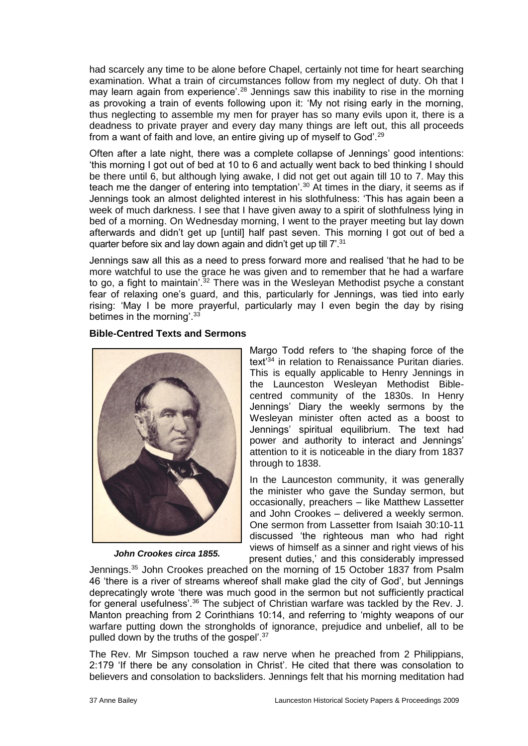had scarcely any time to be alone before Chapel, certainly not time for heart searching examination. What a train of circumstances follow from my neglect of duty. Oh that I may learn again from experience'.<sup>28</sup> Jennings saw this inability to rise in the morning as provoking a train of events following upon it: 'My not rising early in the morning, thus neglecting to assemble my men for prayer has so many evils upon it, there is a deadness to private prayer and every day many things are left out, this all proceeds from a want of faith and love, an entire giving up of myself to God'.<sup>29</sup>

Often after a late night, there was a complete collapse of Jennings' good intentions: 'this morning I got out of bed at 10 to 6 and actually went back to bed thinking I should be there until 6, but although lying awake, I did not get out again till 10 to 7. May this teach me the danger of entering into temptation'.<sup>30</sup> At times in the diary, it seems as if Jennings took an almost delighted interest in his slothfulness: 'This has again been a week of much darkness. I see that I have given away to a spirit of slothfulness lying in bed of a morning. On Wednesday morning, I went to the prayer meeting but lay down afterwards and didn't get up [until] half past seven. This morning I got out of bed a quarter before six and lay down again and didn't get up till 7'.<sup>31</sup>

Jennings saw all this as a need to press forward more and realised 'that he had to be more watchful to use the grace he was given and to remember that he had a warfare to go, a fight to maintain'.<sup>32</sup> There was in the Wesleyan Methodist psyche a constant fear of relaxing one's guard, and this, particularly for Jennings, was tied into early rising: 'May I be more prayerful, particularly may I even begin the day by rising betimes in the morning'.<sup>33</sup>

#### **Bible-Centred Texts and Sermons**



*John Crookes circa 1855.*

Margo Todd refers to 'the shaping force of the text'<sup>34</sup> in relation to Renaissance Puritan diaries. This is equally applicable to Henry Jennings in the Launceston Wesleyan Methodist Biblecentred community of the 1830s. In Henry Jennings' Diary the weekly sermons by the Wesleyan minister often acted as a boost to Jennings' spiritual equilibrium. The text had power and authority to interact and Jennings' attention to it is noticeable in the diary from 1837 through to 1838.

In the Launceston community, it was generally the minister who gave the Sunday sermon, but occasionally, preachers – like Matthew Lassetter and John Crookes – delivered a weekly sermon. One sermon from Lassetter from Isaiah 30:10-11 discussed 'the righteous man who had right views of himself as a sinner and right views of his present duties,' and this considerably impressed

Jennings.<sup>35</sup> John Crookes preached on the morning of 15 October 1837 from Psalm 46 'there is a river of streams whereof shall make glad the city of God', but Jennings deprecatingly wrote 'there was much good in the sermon but not sufficiently practical for general usefulness<sup>'36</sup> The subject of Christian warfare was tackled by the Rev. J. Manton preaching from 2 Corinthians 10:14, and referring to 'mighty weapons of our warfare putting down the strongholds of ignorance, prejudice and unbelief, all to be pulled down by the truths of the gospel'.<sup>37</sup>

The Rev. Mr Simpson touched a raw nerve when he preached from 2 Philippians, 2:179 'If there be any consolation in Christ'. He cited that there was consolation to believers and consolation to backsliders. Jennings felt that his morning meditation had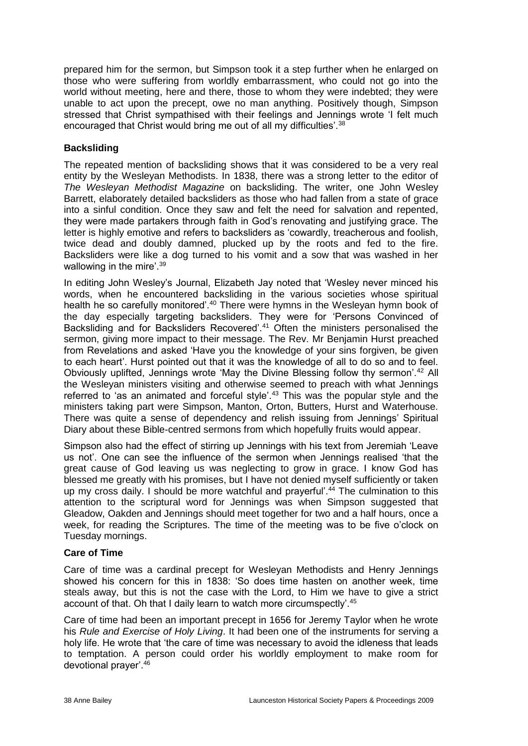prepared him for the sermon, but Simpson took it a step further when he enlarged on those who were suffering from worldly embarrassment, who could not go into the world without meeting, here and there, those to whom they were indebted; they were unable to act upon the precept, owe no man anything. Positively though, Simpson stressed that Christ sympathised with their feelings and Jennings wrote 'I felt much encouraged that Christ would bring me out of all my difficulties'.<sup>38</sup>

#### **Backsliding**

The repeated mention of backsliding shows that it was considered to be a very real entity by the Wesleyan Methodists. In 1838, there was a strong letter to the editor of *The Wesleyan Methodist Magazine* on backsliding. The writer, one John Wesley Barrett, elaborately detailed backsliders as those who had fallen from a state of grace into a sinful condition. Once they saw and felt the need for salvation and repented, they were made partakers through faith in God's renovating and justifying grace. The letter is highly emotive and refers to backsliders as 'cowardly, treacherous and foolish, twice dead and doubly damned, plucked up by the roots and fed to the fire. Backsliders were like a dog turned to his vomit and a sow that was washed in her wallowing in the mire'.<sup>39</sup>

In editing John Wesley's Journal, Elizabeth Jay noted that 'Wesley never minced his words, when he encountered backsliding in the various societies whose spiritual health he so carefully monitored'.<sup>40</sup> There were hymns in the Wesleyan hymn book of the day especially targeting backsliders. They were for 'Persons Convinced of Backsliding and for Backsliders Recovered'.<sup>41</sup> Often the ministers personalised the sermon, giving more impact to their message. The Rev. Mr Benjamin Hurst preached from Revelations and asked 'Have you the knowledge of your sins forgiven, be given to each heart'. Hurst pointed out that it was the knowledge of all to do so and to feel. Obviously uplifted, Jennings wrote 'May the Divine Blessing follow thy sermon'.<sup>42</sup> All the Wesleyan ministers visiting and otherwise seemed to preach with what Jennings referred to 'as an animated and forceful style'.<sup>43</sup> This was the popular style and the ministers taking part were Simpson, Manton, Orton, Butters, Hurst and Waterhouse. There was quite a sense of dependency and relish issuing from Jennings' Spiritual Diary about these Bible-centred sermons from which hopefully fruits would appear.

Simpson also had the effect of stirring up Jennings with his text from Jeremiah 'Leave us not'. One can see the influence of the sermon when Jennings realised 'that the great cause of God leaving us was neglecting to grow in grace. I know God has blessed me greatly with his promises, but I have not denied myself sufficiently or taken up my cross daily. I should be more watchful and prayerful'.<sup>44</sup> The culmination to this attention to the scriptural word for Jennings was when Simpson suggested that Gleadow, Oakden and Jennings should meet together for two and a half hours, once a week, for reading the Scriptures. The time of the meeting was to be five o'clock on Tuesday mornings.

#### **Care of Time**

Care of time was a cardinal precept for Wesleyan Methodists and Henry Jennings showed his concern for this in 1838: 'So does time hasten on another week, time steals away, but this is not the case with the Lord, to Him we have to give a strict account of that. Oh that I daily learn to watch more circumspectly'.<sup>45</sup>

Care of time had been an important precept in 1656 for Jeremy Taylor when he wrote his *Rule and Exercise of Holy Living*. It had been one of the instruments for serving a holy life. He wrote that 'the care of time was necessary to avoid the idleness that leads to temptation. A person could order his worldly employment to make room for devotional prayer'.46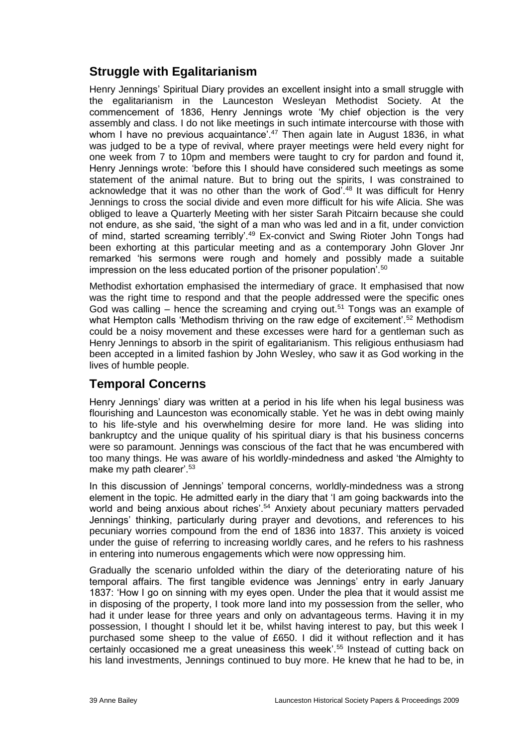# **Struggle with Egalitarianism**

Henry Jennings' Spiritual Diary provides an excellent insight into a small struggle with the egalitarianism in the Launceston Wesleyan Methodist Society. At the commencement of 1836, Henry Jennings wrote 'My chief objection is the very assembly and class. I do not like meetings in such intimate intercourse with those with whom I have no previous acquaintance<sup>7.47</sup> Then again late in August 1836, in what was judged to be a type of revival, where prayer meetings were held every night for one week from 7 to 10pm and members were taught to cry for pardon and found it, Henry Jennings wrote: 'before this I should have considered such meetings as some statement of the animal nature. But to bring out the spirits, I was constrained to acknowledge that it was no other than the work of God<sup>'.48</sup> It was difficult for Henry Jennings to cross the social divide and even more difficult for his wife Alicia. She was obliged to leave a Quarterly Meeting with her sister Sarah Pitcairn because she could not endure, as she said, 'the sight of a man who was led and in a fit, under conviction of mind, started screaming terribly'.<sup>49</sup> Ex-convict and Swing Rioter John Tongs had been exhorting at this particular meeting and as a contemporary John Glover Jnr remarked 'his sermons were rough and homely and possibly made a suitable impression on the less educated portion of the prisoner population'.<sup>50</sup>

Methodist exhortation emphasised the intermediary of grace. It emphasised that now was the right time to respond and that the people addressed were the specific ones God was calling – hence the screaming and crying out.<sup>51</sup> Tongs was an example of what Hempton calls 'Methodism thriving on the raw edge of excitement'.<sup>52</sup> Methodism could be a noisy movement and these excesses were hard for a gentleman such as Henry Jennings to absorb in the spirit of egalitarianism. This religious enthusiasm had been accepted in a limited fashion by John Wesley, who saw it as God working in the lives of humble people.

### **Temporal Concerns**

Henry Jennings' diary was written at a period in his life when his legal business was flourishing and Launceston was economically stable. Yet he was in debt owing mainly to his life-style and his overwhelming desire for more land. He was sliding into bankruptcy and the unique quality of his spiritual diary is that his business concerns were so paramount. Jennings was conscious of the fact that he was encumbered with too many things. He was aware of his worldly-mindedness and asked 'the Almighty to make my path clearer'.<sup>53</sup>

In this discussion of Jennings' temporal concerns, worldly-mindedness was a strong element in the topic. He admitted early in the diary that 'I am going backwards into the world and being anxious about riches'.<sup>54</sup> Anxiety about pecuniary matters pervaded Jennings' thinking, particularly during prayer and devotions, and references to his pecuniary worries compound from the end of 1836 into 1837. This anxiety is voiced under the guise of referring to increasing worldly cares, and he refers to his rashness in entering into numerous engagements which were now oppressing him.

Gradually the scenario unfolded within the diary of the deteriorating nature of his temporal affairs. The first tangible evidence was Jennings' entry in early January 1837: 'How I go on sinning with my eyes open. Under the plea that it would assist me in disposing of the property, I took more land into my possession from the seller, who had it under lease for three years and only on advantageous terms. Having it in my possession, I thought I should let it be, whilst having interest to pay, but this week I purchased some sheep to the value of £650. I did it without reflection and it has certainly occasioned me a great uneasiness this week'.<sup>55</sup> Instead of cutting back on his land investments, Jennings continued to buy more. He knew that he had to be, in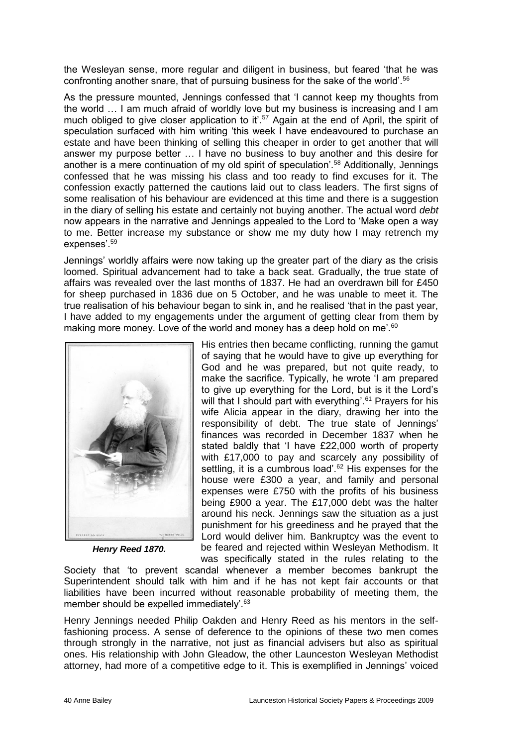the Wesleyan sense, more regular and diligent in business, but feared 'that he was confronting another snare, that of pursuing business for the sake of the world'.<sup>56</sup>

As the pressure mounted, Jennings confessed that 'I cannot keep my thoughts from the world … I am much afraid of worldly love but my business is increasing and I am much obliged to give closer application to it'.<sup>57</sup> Again at the end of April, the spirit of speculation surfaced with him writing 'this week I have endeavoured to purchase an estate and have been thinking of selling this cheaper in order to get another that will answer my purpose better … I have no business to buy another and this desire for another is a mere continuation of my old spirit of speculation'.<sup>58</sup> Additionally, Jennings confessed that he was missing his class and too ready to find excuses for it. The confession exactly patterned the cautions laid out to class leaders. The first signs of some realisation of his behaviour are evidenced at this time and there is a suggestion in the diary of selling his estate and certainly not buying another. The actual word *debt* now appears in the narrative and Jennings appealed to the Lord to 'Make open a way to me. Better increase my substance or show me my duty how I may retrench my expenses'.<sup>59</sup>

Jennings' worldly affairs were now taking up the greater part of the diary as the crisis loomed. Spiritual advancement had to take a back seat. Gradually, the true state of affairs was revealed over the last months of 1837. He had an overdrawn bill for £450 for sheep purchased in 1836 due on 5 October, and he was unable to meet it. The true realisation of his behaviour began to sink in, and he realised 'that in the past year, I have added to my engagements under the argument of getting clear from them by making more money. Love of the world and money has a deep hold on me'.<sup>60</sup>



*Henry Reed 1870.*

His entries then became conflicting, running the gamut of saying that he would have to give up everything for God and he was prepared, but not quite ready, to make the sacrifice. Typically, he wrote 'I am prepared to give up everything for the Lord, but is it the Lord's will that I should part with everything'. $61$  Prayers for his wife Alicia appear in the diary, drawing her into the responsibility of debt. The true state of Jennings' finances was recorded in December 1837 when he stated baldly that 'I have £22,000 worth of property with £17,000 to pay and scarcely any possibility of settling, it is a cumbrous load'.<sup>62</sup> His expenses for the house were £300 a year, and family and personal expenses were £750 with the profits of his business being £900 a year. The £17,000 debt was the halter around his neck. Jennings saw the situation as a just punishment for his greediness and he prayed that the Lord would deliver him. Bankruptcy was the event to be feared and rejected within Wesleyan Methodism. It was specifically stated in the rules relating to the

Society that 'to prevent scandal whenever a member becomes bankrupt the Superintendent should talk with him and if he has not kept fair accounts or that liabilities have been incurred without reasonable probability of meeting them, the member should be expelled immediately'.<sup>63</sup>

Henry Jennings needed Philip Oakden and Henry Reed as his mentors in the selffashioning process. A sense of deference to the opinions of these two men comes through strongly in the narrative, not just as financial advisers but also as spiritual ones. His relationship with John Gleadow, the other Launceston Wesleyan Methodist attorney, had more of a competitive edge to it. This is exemplified in Jennings' voiced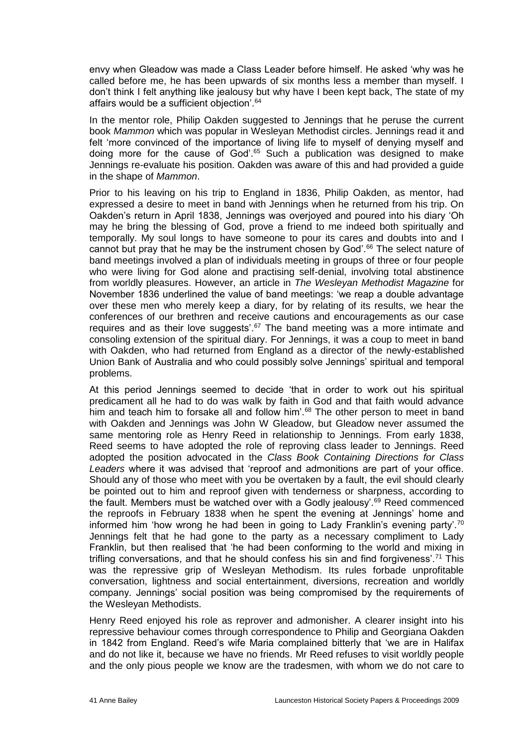envy when Gleadow was made a Class Leader before himself. He asked 'why was he called before me, he has been upwards of six months less a member than myself. I don't think I felt anything like jealousy but why have I been kept back, The state of my affairs would be a sufficient objection'.<sup>64</sup>

In the mentor role, Philip Oakden suggested to Jennings that he peruse the current book *Mammon* which was popular in Wesleyan Methodist circles. Jennings read it and felt 'more convinced of the importance of living life to myself of denying myself and doing more for the cause of God'.<sup>65</sup> Such a publication was designed to make Jennings re-evaluate his position. Oakden was aware of this and had provided a guide in the shape of *Mammon*.

Prior to his leaving on his trip to England in 1836, Philip Oakden, as mentor, had expressed a desire to meet in band with Jennings when he returned from his trip. On Oakden's return in April 1838, Jennings was overjoyed and poured into his diary 'Oh may he bring the blessing of God, prove a friend to me indeed both spiritually and temporally. My soul longs to have someone to pour its cares and doubts into and I cannot but pray that he may be the instrument chosen by God'.<sup>66</sup> The select nature of band meetings involved a plan of individuals meeting in groups of three or four people who were living for God alone and practising self-denial, involving total abstinence from worldly pleasures. However, an article in *The Wesleyan Methodist Magazine* for November 1836 underlined the value of band meetings: 'we reap a double advantage over these men who merely keep a diary, for by relating of its results, we hear the conferences of our brethren and receive cautions and encouragements as our case requires and as their love suggests'.<sup>67</sup> The band meeting was a more intimate and consoling extension of the spiritual diary. For Jennings, it was a coup to meet in band with Oakden, who had returned from England as a director of the newly-established Union Bank of Australia and who could possibly solve Jennings' spiritual and temporal problems.

At this period Jennings seemed to decide 'that in order to work out his spiritual predicament all he had to do was walk by faith in God and that faith would advance him and teach him to forsake all and follow him'.<sup>68</sup> The other person to meet in band with Oakden and Jennings was John W Gleadow, but Gleadow never assumed the same mentoring role as Henry Reed in relationship to Jennings. From early 1838, Reed seems to have adopted the role of reproving class leader to Jennings. Reed adopted the position advocated in the *Class Book Containing Directions for Class Leaders* where it was advised that 'reproof and admonitions are part of your office. Should any of those who meet with you be overtaken by a fault, the evil should clearly be pointed out to him and reproof given with tenderness or sharpness, according to the fault. Members must be watched over with a Godly jealousy'.<sup>69</sup> Reed commenced the reproofs in February 1838 when he spent the evening at Jennings' home and informed him 'how wrong he had been in going to Lady Franklin's evening party'.<sup>70</sup> Jennings felt that he had gone to the party as a necessary compliment to Lady Franklin, but then realised that 'he had been conforming to the world and mixing in trifling conversations, and that he should confess his sin and find forgiveness'.<sup>71</sup> This was the repressive grip of Wesleyan Methodism. Its rules forbade unprofitable conversation, lightness and social entertainment, diversions, recreation and worldly company. Jennings' social position was being compromised by the requirements of the Wesleyan Methodists.

Henry Reed enjoyed his role as reprover and admonisher. A clearer insight into his repressive behaviour comes through correspondence to Philip and Georgiana Oakden in 1842 from England. Reed's wife Maria complained bitterly that 'we are in Halifax and do not like it, because we have no friends. Mr Reed refuses to visit worldly people and the only pious people we know are the tradesmen, with whom we do not care to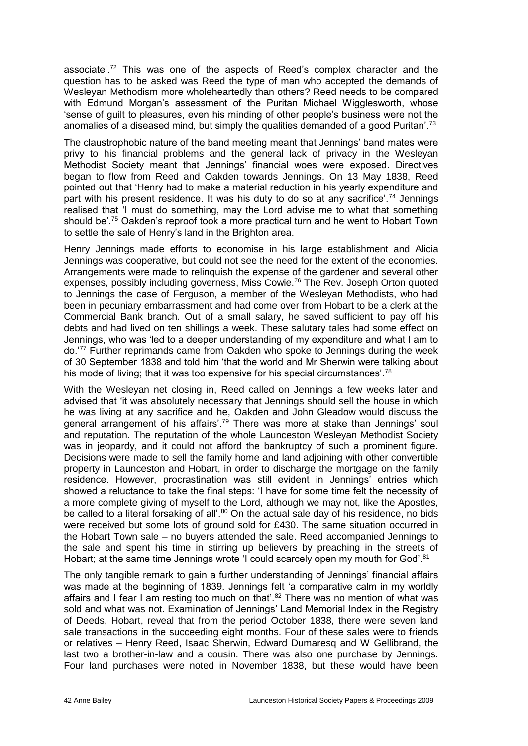associate'.<sup>72</sup> This was one of the aspects of Reed's complex character and the question has to be asked was Reed the type of man who accepted the demands of Wesleyan Methodism more wholeheartedly than others? Reed needs to be compared with Edmund Morgan's assessment of the Puritan Michael Wigglesworth, whose 'sense of guilt to pleasures, even his minding of other people's business were not the anomalies of a diseased mind, but simply the qualities demanded of a good Puritan'.<sup>73</sup>

The claustrophobic nature of the band meeting meant that Jennings' band mates were privy to his financial problems and the general lack of privacy in the Wesleyan Methodist Society meant that Jennings' financial woes were exposed. Directives began to flow from Reed and Oakden towards Jennings. On 13 May 1838, Reed pointed out that 'Henry had to make a material reduction in his yearly expenditure and part with his present residence. It was his duty to do so at any sacrifice'.<sup>74</sup> Jennings realised that 'I must do something, may the Lord advise me to what that something should be'.<sup>75</sup> Oakden's reproof took a more practical turn and he went to Hobart Town to settle the sale of Henry's land in the Brighton area.

Henry Jennings made efforts to economise in his large establishment and Alicia Jennings was cooperative, but could not see the need for the extent of the economies. Arrangements were made to relinquish the expense of the gardener and several other expenses, possibly including governess, Miss Cowie.<sup>76</sup> The Rev. Joseph Orton quoted to Jennings the case of Ferguson, a member of the Wesleyan Methodists, who had been in pecuniary embarrassment and had come over from Hobart to be a clerk at the Commercial Bank branch. Out of a small salary, he saved sufficient to pay off his debts and had lived on ten shillings a week. These salutary tales had some effect on Jennings, who was 'led to a deeper understanding of my expenditure and what I am to do.'<sup>77</sup> Further reprimands came from Oakden who spoke to Jennings during the week of 30 September 1838 and told him 'that the world and Mr Sherwin were talking about his mode of living; that it was too expensive for his special circumstances'.<sup>78</sup>

With the Wesleyan net closing in, Reed called on Jennings a few weeks later and advised that 'it was absolutely necessary that Jennings should sell the house in which he was living at any sacrifice and he, Oakden and John Gleadow would discuss the general arrangement of his affairs'.<sup>79</sup> There was more at stake than Jennings' soul and reputation. The reputation of the whole Launceston Wesleyan Methodist Society was in jeopardy, and it could not afford the bankruptcy of such a prominent figure. Decisions were made to sell the family home and land adjoining with other convertible property in Launceston and Hobart, in order to discharge the mortgage on the family residence. However, procrastination was still evident in Jennings' entries which showed a reluctance to take the final steps: 'I have for some time felt the necessity of a more complete giving of myself to the Lord, although we may not, like the Apostles, be called to a literal forsaking of all'.<sup>80</sup> On the actual sale day of his residence, no bids were received but some lots of ground sold for £430. The same situation occurred in the Hobart Town sale – no buyers attended the sale. Reed accompanied Jennings to the sale and spent his time in stirring up believers by preaching in the streets of Hobart; at the same time Jennings wrote 'I could scarcely open my mouth for God'.<sup>81</sup>

The only tangible remark to gain a further understanding of Jennings' financial affairs was made at the beginning of 1839. Jennings felt 'a comparative calm in my worldly affairs and I fear I am resting too much on that'.<sup>82</sup> There was no mention of what was sold and what was not. Examination of Jennings' Land Memorial Index in the Registry of Deeds, Hobart, reveal that from the period October 1838, there were seven land sale transactions in the succeeding eight months. Four of these sales were to friends or relatives – Henry Reed, Isaac Sherwin, Edward Dumaresq and W Gellibrand, the last two a brother-in-law and a cousin. There was also one purchase by Jennings. Four land purchases were noted in November 1838, but these would have been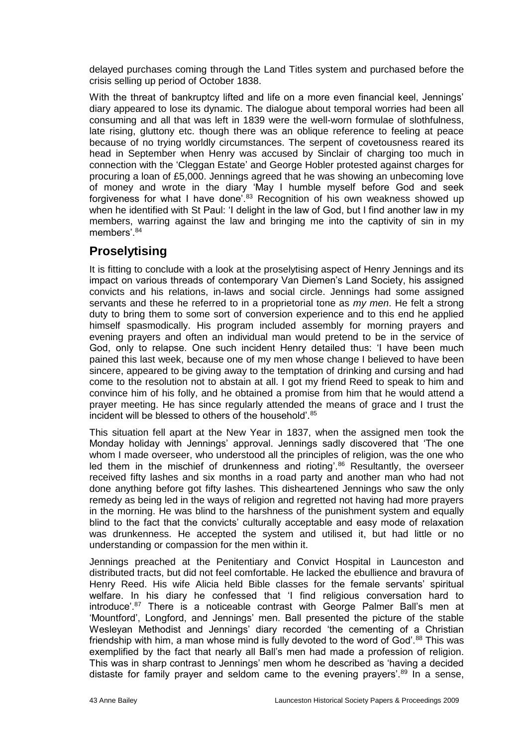delayed purchases coming through the Land Titles system and purchased before the crisis selling up period of October 1838.

With the threat of bankruptcy lifted and life on a more even financial keel, Jennings' diary appeared to lose its dynamic. The dialogue about temporal worries had been all consuming and all that was left in 1839 were the well-worn formulae of slothfulness, late rising, gluttony etc. though there was an oblique reference to feeling at peace because of no trying worldly circumstances. The serpent of covetousness reared its head in September when Henry was accused by Sinclair of charging too much in connection with the 'Cleggan Estate' and George Hobler protested against charges for procuring a loan of £5,000. Jennings agreed that he was showing an unbecoming love of money and wrote in the diary 'May I humble myself before God and seek forgiveness for what I have done<sup>'.83</sup> Recognition of his own weakness showed up when he identified with St Paul: 'I delight in the law of God, but I find another law in my members, warring against the law and bringing me into the captivity of sin in my members'.<sup>84</sup>

# **Proselytising**

It is fitting to conclude with a look at the proselytising aspect of Henry Jennings and its impact on various threads of contemporary Van Diemen's Land Society, his assigned convicts and his relations, in-laws and social circle. Jennings had some assigned servants and these he referred to in a proprietorial tone as *my men*. He felt a strong duty to bring them to some sort of conversion experience and to this end he applied himself spasmodically. His program included assembly for morning prayers and evening prayers and often an individual man would pretend to be in the service of God, only to relapse. One such incident Henry detailed thus: 'I have been much pained this last week, because one of my men whose change I believed to have been sincere, appeared to be giving away to the temptation of drinking and cursing and had come to the resolution not to abstain at all. I got my friend Reed to speak to him and convince him of his folly, and he obtained a promise from him that he would attend a prayer meeting. He has since regularly attended the means of grace and I trust the incident will be blessed to others of the household'.<sup>85</sup>

This situation fell apart at the New Year in 1837, when the assigned men took the Monday holiday with Jennings' approval. Jennings sadly discovered that 'The one whom I made overseer, who understood all the principles of religion, was the one who led them in the mischief of drunkenness and rioting'.<sup>86</sup> Resultantly, the overseer received fifty lashes and six months in a road party and another man who had not done anything before got fifty lashes. This disheartened Jennings who saw the only remedy as being led in the ways of religion and regretted not having had more prayers in the morning. He was blind to the harshness of the punishment system and equally blind to the fact that the convicts' culturally acceptable and easy mode of relaxation was drunkenness. He accepted the system and utilised it, but had little or no understanding or compassion for the men within it.

Jennings preached at the Penitentiary and Convict Hospital in Launceston and distributed tracts, but did not feel comfortable. He lacked the ebullience and bravura of Henry Reed. His wife Alicia held Bible classes for the female servants' spiritual welfare. In his diary he confessed that 'I find religious conversation hard to introduce'.<sup>87</sup> There is a noticeable contrast with George Palmer Ball's men at 'Mountford', Longford, and Jennings' men. Ball presented the picture of the stable Wesleyan Methodist and Jennings' diary recorded 'the cementing of a Christian friendship with him, a man whose mind is fully devoted to the word of God'. $88$  This was exemplified by the fact that nearly all Ball's men had made a profession of religion. This was in sharp contrast to Jennings' men whom he described as 'having a decided distaste for family prayer and seldom came to the evening prayers'.<sup>89</sup> In a sense,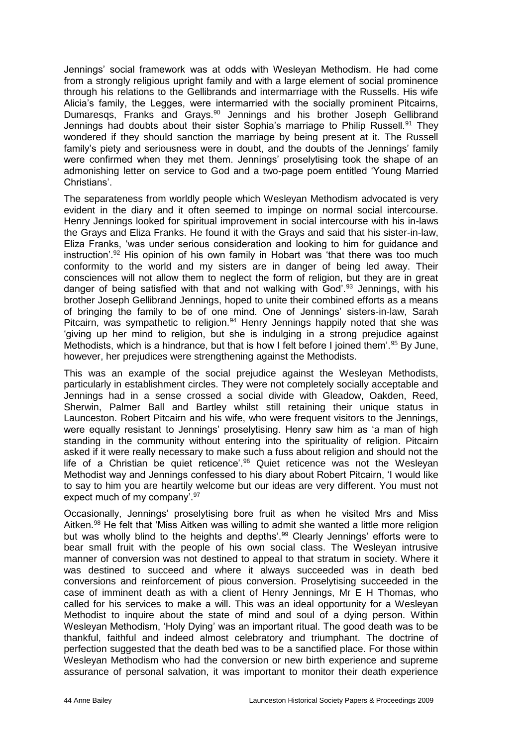Jennings' social framework was at odds with Wesleyan Methodism. He had come from a strongly religious upright family and with a large element of social prominence through his relations to the Gellibrands and intermarriage with the Russells. His wife Alicia's family, the Legges, were intermarried with the socially prominent Pitcairns, Dumaresqs, Franks and Grays.<sup>90</sup> Jennings and his brother Joseph Gellibrand Jennings had doubts about their sister Sophia's marriage to Philip Russell.<sup>91</sup> They wondered if they should sanction the marriage by being present at it. The Russell family's piety and seriousness were in doubt, and the doubts of the Jennings' family were confirmed when they met them. Jennings' proselytising took the shape of an admonishing letter on service to God and a two-page poem entitled 'Young Married Christians'.

The separateness from worldly people which Wesleyan Methodism advocated is very evident in the diary and it often seemed to impinge on normal social intercourse. Henry Jennings looked for spiritual improvement in social intercourse with his in-laws the Grays and Eliza Franks. He found it with the Grays and said that his sister-in-law, Eliza Franks, 'was under serious consideration and looking to him for guidance and instruction'. $92$  His opinion of his own family in Hobart was 'that there was too much conformity to the world and my sisters are in danger of being led away. Their consciences will not allow them to neglect the form of religion, but they are in great danger of being satisfied with that and not walking with God'.<sup>93</sup> Jennings, with his brother Joseph Gellibrand Jennings, hoped to unite their combined efforts as a means of bringing the family to be of one mind. One of Jennings' sisters-in-law, Sarah Pitcairn, was sympathetic to religion.<sup>94</sup> Henry Jennings happily noted that she was 'giving up her mind to religion, but she is indulging in a strong prejudice against Methodists, which is a hindrance, but that is how I felt before I joined them'.<sup>95</sup> By June, however, her prejudices were strengthening against the Methodists.

This was an example of the social prejudice against the Wesleyan Methodists, particularly in establishment circles. They were not completely socially acceptable and Jennings had in a sense crossed a social divide with Gleadow, Oakden, Reed, Sherwin, Palmer Ball and Bartley whilst still retaining their unique status in Launceston. Robert Pitcairn and his wife, who were frequent visitors to the Jennings, were equally resistant to Jennings' proselytising. Henry saw him as 'a man of high standing in the community without entering into the spirituality of religion. Pitcairn asked if it were really necessary to make such a fuss about religion and should not the life of a Christian be quiet reticence'.<sup>96</sup> Quiet reticence was not the Wesleyan Methodist way and Jennings confessed to his diary about Robert Pitcairn, 'I would like to say to him you are heartily welcome but our ideas are very different. You must not expect much of my company'. 97

Occasionally, Jennings' proselytising bore fruit as when he visited Mrs and Miss Aitken.<sup>98</sup> He felt that 'Miss Aitken was willing to admit she wanted a little more religion but was wholly blind to the heights and depths'.<sup>99</sup> Clearly Jennings' efforts were to bear small fruit with the people of his own social class. The Wesleyan intrusive manner of conversion was not destined to appeal to that stratum in society. Where it was destined to succeed and where it always succeeded was in death bed conversions and reinforcement of pious conversion. Proselytising succeeded in the case of imminent death as with a client of Henry Jennings, Mr E H Thomas, who called for his services to make a will. This was an ideal opportunity for a Wesleyan Methodist to inquire about the state of mind and soul of a dying person. Within Wesleyan Methodism, 'Holy Dying' was an important ritual. The good death was to be thankful, faithful and indeed almost celebratory and triumphant. The doctrine of perfection suggested that the death bed was to be a sanctified place. For those within Wesleyan Methodism who had the conversion or new birth experience and supreme assurance of personal salvation, it was important to monitor their death experience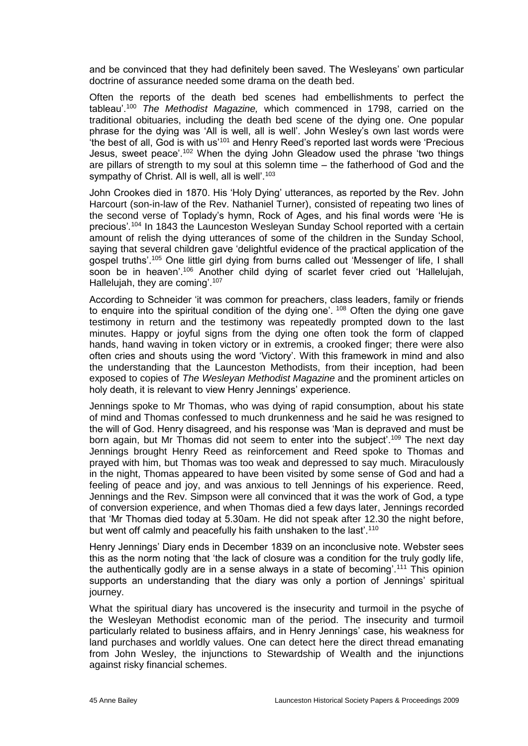and be convinced that they had definitely been saved. The Wesleyans' own particular doctrine of assurance needed some drama on the death bed.

Often the reports of the death bed scenes had embellishments to perfect the tableau'.<sup>100</sup> *The Methodist Magazine,* which commenced in 1798, carried on the traditional obituaries, including the death bed scene of the dying one. One popular phrase for the dying was 'All is well, all is well'. John Wesley's own last words were 'the best of all, God is with us'<sup>101</sup> and Henry Reed's reported last words were 'Precious Jesus, sweet peace'.<sup>102</sup> When the dying John Gleadow used the phrase 'two things are pillars of strength to my soul at this solemn time – the fatherhood of God and the sympathy of Christ. All is well, all is well'.<sup>103</sup>

John Crookes died in 1870. His 'Holy Dying' utterances, as reported by the Rev. John Harcourt (son-in-law of the Rev. Nathaniel Turner), consisted of repeating two lines of the second verse of Toplady's hymn, Rock of Ages, and his final words were 'He is precious'*.* <sup>104</sup> In 1843 the Launceston Wesleyan Sunday School reported with a certain amount of relish the dying utterances of some of the children in the Sunday School, saying that several children gave 'delightful evidence of the practical application of the gospel truths'.<sup>105</sup> One little girl dying from burns called out 'Messenger of life, I shall soon be in heaven'.<sup>106</sup> Another child dying of scarlet fever cried out 'Hallelujah, Hallelujah, they are coming'.<sup>107</sup>

According to Schneider 'it was common for preachers, class leaders, family or friends to enquire into the spiritual condition of the dying one'. <sup>108</sup> Often the dying one gave testimony in return and the testimony was repeatedly prompted down to the last minutes. Happy or joyful signs from the dying one often took the form of clapped hands, hand waving in token victory or in extremis, a crooked finger; there were also often cries and shouts using the word 'Victory'. With this framework in mind and also the understanding that the Launceston Methodists, from their inception, had been exposed to copies of *The Wesleyan Methodist Magazine* and the prominent articles on holy death, it is relevant to view Henry Jennings' experience.

Jennings spoke to Mr Thomas, who was dying of rapid consumption, about his state of mind and Thomas confessed to much drunkenness and he said he was resigned to the will of God. Henry disagreed, and his response was 'Man is depraved and must be born again, but Mr Thomas did not seem to enter into the subject'.<sup>109</sup> The next day Jennings brought Henry Reed as reinforcement and Reed spoke to Thomas and prayed with him, but Thomas was too weak and depressed to say much. Miraculously in the night, Thomas appeared to have been visited by some sense of God and had a feeling of peace and joy, and was anxious to tell Jennings of his experience. Reed, Jennings and the Rev. Simpson were all convinced that it was the work of God, a type of conversion experience, and when Thomas died a few days later, Jennings recorded that 'Mr Thomas died today at 5.30am. He did not speak after 12.30 the night before, but went off calmly and peacefully his faith unshaken to the last'.<sup>110</sup>

Henry Jennings' Diary ends in December 1839 on an inconclusive note. Webster sees this as the norm noting that 'the lack of closure was a condition for the truly godly life, the authentically godly are in a sense always in a state of becoming'.<sup>111</sup> This opinion supports an understanding that the diary was only a portion of Jennings' spiritual journey.

What the spiritual diary has uncovered is the insecurity and turmoil in the psyche of the Wesleyan Methodist economic man of the period. The insecurity and turmoil particularly related to business affairs, and in Henry Jennings' case, his weakness for land purchases and worldly values. One can detect here the direct thread emanating from John Wesley, the injunctions to Stewardship of Wealth and the injunctions against risky financial schemes.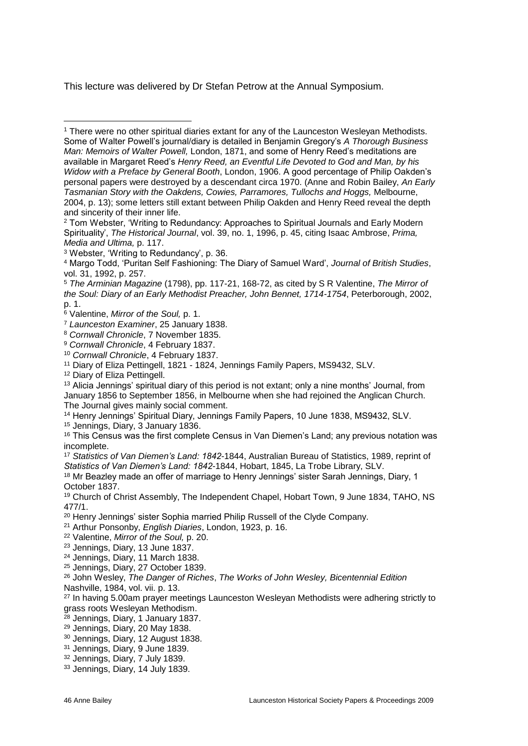This lecture was delivered by Dr Stefan Petrow at the Annual Symposium.

- <sup>8</sup> *Cornwall Chronicle*, 7 November 1835.
- <sup>9</sup> *Cornwall Chronicle*, 4 February 1837.
- <sup>10</sup> *Cornwall Chronicle*, 4 February 1837.
- <sup>11</sup> Diary of Eliza Pettingell, 1821 1824, Jennings Family Papers, MS9432, SLV.

12 Diary of Eliza Pettingell.

<sup>13</sup> Alicia Jennings' spiritual diary of this period is not extant; only a nine months' Journal, from January 1856 to September 1856, in Melbourne when she had rejoined the Anglican Church. The Journal gives mainly social comment.

<sup>14</sup> Henry Jennings' Spiritual Diary, Jennings Family Papers, 10 June 1838, MS9432, SLV.

<sup>15</sup> Jennings, Diary, 3 January 1836.

<sup>16</sup> This Census was the first complete Census in Van Diemen's Land; any previous notation was incomplete.

<sup>17</sup> *Statistics of Van Diemen's Land: 1842-*1844, Australian Bureau of Statistics, 1989, reprint of *Statistics of Van Diemen's Land: 1842-*1844, Hobart, 1845, La Trobe Library, SLV.

<sup>18</sup> Mr Beazley made an offer of marriage to Henry Jennings' sister Sarah Jennings, Diary, 1 October 1837.

<sup>19</sup> Church of Christ Assembly, The Independent Chapel, Hobart Town, 9 June 1834, TAHO, NS 477/1.

<sup>20</sup> Henry Jennings' sister Sophia married Philip Russell of the Clyde Company.

<sup>21</sup> Arthur Ponsonby, *English Diaries*, London, 1923, p. 16.

<sup>22</sup> Valentine, *Mirror of the Soul,* p. 20.

<sup>23</sup> Jennings, Diary, 13 June 1837.

<sup>24</sup> Jennings, Diary, 11 March 1838.

<sup>25</sup> Jennings, Diary, 27 October 1839.

<sup>26</sup> John Wesley, *The Danger of Riches*, *The Works of John Wesley, Bicentennial Edition* 

Nashville, 1984, vol. vii. p. 13.

<sup>27</sup> In having 5.00am prayer meetings Launceston Wesleyan Methodists were adhering strictly to grass roots Wesleyan Methodism.

<sup>28</sup> Jennings, Diary, 1 January 1837.

- <sup>29</sup> Jennings, Diary, 20 May 1838.
- <sup>30</sup> Jennings, Diary, 12 August 1838.
- <sup>31</sup> Jennings, Diary, 9 June 1839.
- <sup>32</sup> Jennings, Diary, 7 July 1839.
- <sup>33</sup> Jennings, Diary, 14 July 1839.

<sup>-</sup><sup>1</sup> There were no other spiritual diaries extant for any of the Launceston Wesleyan Methodists. Some of Walter Powell's journal/diary is detailed in Benjamin Gregory's *A Thorough Business Man: Memoirs of Walter Powell,* London, 1871, and some of Henry Reed's meditations are available in Margaret Reed's *Henry Reed, an Eventful Life Devoted to God and Man, by his Widow with a Preface by General Booth*, London, 1906. A good percentage of Philip Oakden's personal papers were destroyed by a descendant circa 1970. (Anne and Robin Bailey, *An Early Tasmanian Story with the Oakdens, Cowies, Parramores, Tullochs and Hoggs,* Melbourne, 2004, p. 13); some letters still extant between Philip Oakden and Henry Reed reveal the depth and sincerity of their inner life.

<sup>2</sup> Tom Webster, 'Writing to Redundancy: Approaches to Spiritual Journals and Early Modern Spirituality', *The Historical Journal*, vol. 39, no. 1, 1996, p. 45, citing Isaac Ambrose, *Prima, Media and Ultima,* p. 117.

<sup>3</sup> Webster, 'Writing to Redundancy', p. 36.

<sup>4</sup> Margo Todd, 'Puritan Self Fashioning: The Diary of Samuel Ward', *Journal of British Studies*, vol. 31, 1992, p. 257.

<sup>5</sup> *The Arminian Magazine* (1798), pp. 117-21, 168-72, as cited by S R Valentine, *The Mirror of the Soul: Diary of an Early Methodist Preacher, John Bennet, 1714-1754*, Peterborough, 2002, p. 1.

<sup>6</sup> Valentine, *Mirror of the Soul,* p. 1.

<sup>7</sup> *Launceston Examiner*, 25 January 1838.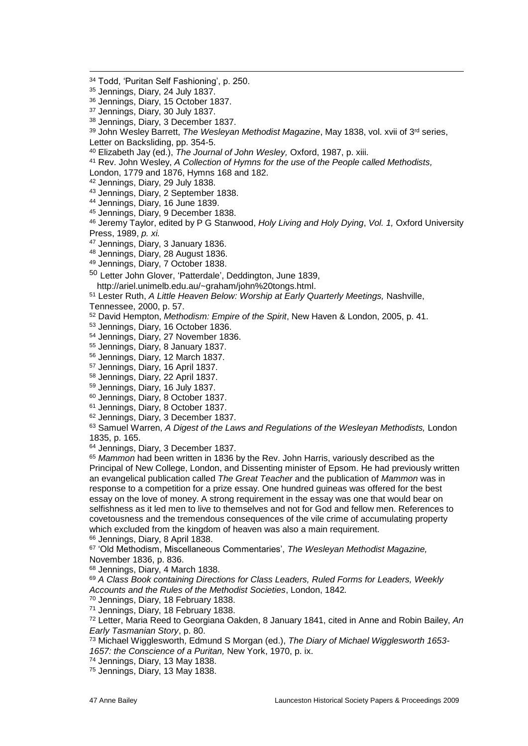- Jennings, Diary, 24 July 1837.
- Jennings, Diary, 15 October 1837.
- Jennings, Diary, 30 July 1837.
- Jennings, Diary, 3 December 1837.

<sup>39</sup> John Wesley Barrett, *The Wesleyan Methodist Magazine*, May 1838, vol. xvii of 3<sup>rd</sup> series, Letter on Backsliding, pp. 354-5.

Elizabeth Jay (ed.), *The Journal of John Wesley,* Oxford, 1987, p. xiii.

Rev. John Wesley, *A Collection of Hymns for the use of the People called Methodists,*

London, 1779 and 1876, Hymns 168 and 182.

Jennings, Diary, 29 July 1838.

Jennings, Diary, 2 September 1838.

- Jennings, Diary, 16 June 1839.
- Jennings, Diary, 9 December 1838.
- Jeremy Taylor, edited by P G Stanwood, *Holy Living and Holy Dying*, *Vol. 1,* Oxford University Press, 1989, *p. xi.*
- Jennings, Diary, 3 January 1836.
- Jennings, Diary, 28 August 1836.
- Jennings, Diary, 7 October 1838.

 Letter John Glover, 'Patterdale', Deddington, June 1839, http://ariel.unimelb.edu.au/~graham/john%20tongs.html.

Lester Ruth, *A Little Heaven Below: Worship at Early Quarterly Meetings,* Nashville,

Tennessee, 2000, p. 57.

David Hempton, *Methodism: Empire of the Spirit*, New Haven & London, 2005, p. 41.

- Jennings, Diary, 16 October 1836.
- Jennings, Diary, 27 November 1836.
- Jennings, Diary, 8 January 1837.
- Jennings, Diary, 12 March 1837.
- Jennings, Diary, 16 April 1837.
- Jennings, Diary, 22 April 1837.
- Jennings, Diary, 16 July 1837.
- Jennings, Diary, 8 October 1837.
- Jennings, Diary, 8 October 1837.
- Jennings, Diary, 3 December 1837.
- Samuel Warren, *A Digest of the Laws and Regulations of the Wesleyan Methodists,* London 1835, p. 165.

Jennings, Diary, 3 December 1837.

 *Mammon* had been written in 1836 by the Rev. John Harris, variously described as the Principal of New College, London, and Dissenting minister of Epsom. He had previously written an evangelical publication called *The Great Teacher* and the publication of *Mammon* was in response to a competition for a prize essay. One hundred guineas was offered for the best essay on the love of money. A strong requirement in the essay was one that would bear on selfishness as it led men to live to themselves and not for God and fellow men. References to covetousness and the tremendous consequences of the vile crime of accumulating property which excluded from the kingdom of heaven was also a main requirement.

Jennings, Diary, 8 April 1838.

 'Old Methodism, Miscellaneous Commentaries', *The Wesleyan Methodist Magazine,*  November 1836, p. 836.

- Jennings, Diary, 4 March 1838.
- *A Class Book containing Directions for Class Leaders, Ruled Forms for Leaders, Weekly Accounts and the Rules of the Methodist Societies*, London, 1842*.*
- Jennings, Diary, 18 February 1838.

Jennings, Diary, 18 February 1838.

 Letter, Maria Reed to Georgiana Oakden, 8 January 1841, cited in Anne and Robin Bailey, *An Early Tasmanian Story*, p. 80.

 Michael Wigglesworth, Edmund S Morgan (ed.), *The Diary of Michael Wigglesworth 1653- 1657: the Conscience of a Puritan,* New York, 1970, p. ix.

Jennings, Diary, 13 May 1838.

Jennings, Diary, 13 May 1838.

<sup>-</sup>Todd, 'Puritan Self Fashioning', p. 250.